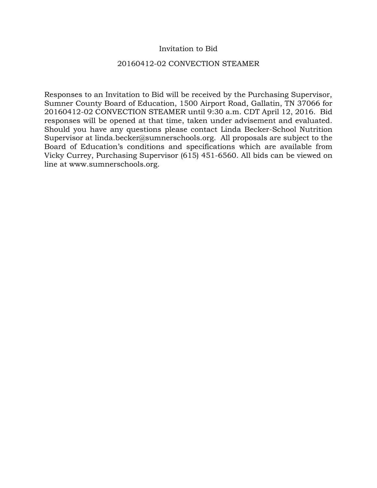## Invitation to Bid

### 20160412-02 CONVECTION STEAMER

Responses to an Invitation to Bid will be received by the Purchasing Supervisor, Sumner County Board of Education, 1500 Airport Road, Gallatin, TN 37066 for 20160412-02 CONVECTION STEAMER until 9:30 a.m. CDT April 12, 2016. Bid responses will be opened at that time, taken under advisement and evaluated. Should you have any questions please contact Linda Becker-School Nutrition Supervisor at linda.becker@sumnerschools.org. All proposals are subject to the Board of Education's conditions and specifications which are available from Vicky Currey, Purchasing Supervisor (615) 451-6560. All bids can be viewed on line at www.sumnerschools.org.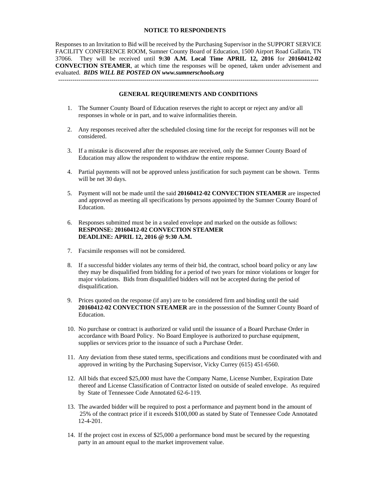### **NOTICE TO RESPONDENTS**

Responses to an Invitation to Bid will be received by the Purchasing Supervisor in the SUPPORT SERVICE FACILITY CONFERENCE ROOM, Sumner County Board of Education, 1500 Airport Road Gallatin, TN 37066. They will be received until **9:30 A.M. Local Time APRIL 12, 2016** for **20160412-02 CONVECTION STEAMER**, at which time the responses will be opened, taken under advisement and evaluated. *BIDS WILL BE POSTED ON www.sumnerschools.org* 

#### **GENERAL REQUIREMENTS AND CONDITIONS**

-------------------------------------------------------------------------------------------------------------------------------

- 1. The Sumner County Board of Education reserves the right to accept or reject any and/or all responses in whole or in part, and to waive informalities therein.
- 2. Any responses received after the scheduled closing time for the receipt for responses will not be considered.
- 3. If a mistake is discovered after the responses are received, only the Sumner County Board of Education may allow the respondent to withdraw the entire response.
- 4. Partial payments will not be approved unless justification for such payment can be shown. Terms will be net 30 days.
- 5. Payment will not be made until the said **20160412-02 CONVECTION STEAMER** are inspected and approved as meeting all specifications by persons appointed by the Sumner County Board of Education.
- 6. Responses submitted must be in a sealed envelope and marked on the outside as follows: **RESPONSE: 20160412-02 CONVECTION STEAMER DEADLINE: APRIL 12, 2016 @ 9:30 A.M.**
- 7. Facsimile responses will not be considered.
- 8. If a successful bidder violates any terms of their bid, the contract, school board policy or any law they may be disqualified from bidding for a period of two years for minor violations or longer for major violations. Bids from disqualified bidders will not be accepted during the period of disqualification.
- 9. Prices quoted on the response (if any) are to be considered firm and binding until the said **20160412-02 CONVECTION STEAMER** are in the possession of the Sumner County Board of Education.
- 10. No purchase or contract is authorized or valid until the issuance of a Board Purchase Order in accordance with Board Policy. No Board Employee is authorized to purchase equipment, supplies or services prior to the issuance of such a Purchase Order.
- 11. Any deviation from these stated terms, specifications and conditions must be coordinated with and approved in writing by the Purchasing Supervisor, Vicky Currey (615) 451-6560.
- 12. All bids that exceed \$25,000 must have the Company Name, License Number, Expiration Date thereof and License Classification of Contractor listed on outside of sealed envelope. As required by State of Tennessee Code Annotated 62-6-119.
- 13. The awarded bidder will be required to post a performance and payment bond in the amount of 25% of the contract price if it exceeds \$100,000 as stated by State of Tennessee Code Annotated 12-4-201.
- 14. If the project cost in excess of \$25,000 a performance bond must be secured by the requesting party in an amount equal to the market improvement value.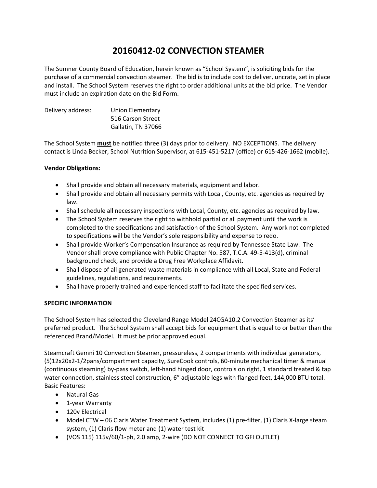# **20160412‐02 CONVECTION STEAMER**

The Sumner County Board of Education, herein known as "School System", is soliciting bids for the purchase of a commercial convection steamer. The bid is to include cost to deliver, uncrate, set in place and install. The School System reserves the right to order additional units at the bid price. The Vendor must include an expiration date on the Bid Form.

Delivery address: Union Elementary 516 Carson Street Gallatin, TN 37066

The School System **must** be notified three (3) days prior to delivery. NO EXCEPTIONS. The delivery contact is Linda Becker, School Nutrition Supervisor, at 615‐451‐5217 (office) or 615‐426‐1662 (mobile).

### **Vendor Obligations:**

- Shall provide and obtain all necessary materials, equipment and labor.
- Shall provide and obtain all necessary permits with Local, County, etc. agencies as required by law.
- Shall schedule all necessary inspections with Local, County, etc. agencies as required by law.
- The School System reserves the right to withhold partial or all payment until the work is completed to the specifications and satisfaction of the School System. Any work not completed to specifications will be the Vendor's sole responsibility and expense to redo.
- Shall provide Worker's Compensation Insurance as required by Tennessee State Law. The Vendor shall prove compliance with Public Chapter No. 587, T.C.A. 49‐5‐413(d), criminal background check, and provide a Drug Free Workplace Affidavit.
- Shall dispose of all generated waste materials in compliance with all Local, State and Federal guidelines, regulations, and requirements.
- Shall have properly trained and experienced staff to facilitate the specified services.

### **SPECIFIC INFORMATION**

The School System has selected the Cleveland Range Model 24CGA10.2 Convection Steamer as its' preferred product. The School System shall accept bids for equipment that is equal to or better than the referenced Brand/Model. It must be prior approved equal.

Steamcraft Gemni 10 Convection Steamer, pressureless, 2 compartments with individual generators, (5)12x20x2‐1/2pans/compartment capacity, SureCook controls, 60‐minute mechanical timer & manual (continuous steaming) by‐pass switch, left‐hand hinged door, controls on right, 1 standard treated & tap water connection, stainless steel construction, 6" adjustable legs with flanged feet, 144,000 BTU total. Basic Features:

- Natural Gas
- 1-year Warranty
- 120v Electrical
- Model CTW 06 Claris Water Treatment System, includes (1) pre-filter, (1) Claris X-large steam system, (1) Claris flow meter and (1) water test kit
- (VOS 115) 115v/60/1‐ph, 2.0 amp, 2‐wire (DO NOT CONNECT TO GFI OUTLET)